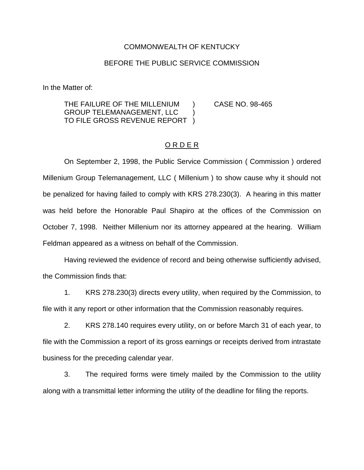## COMMONWEALTH OF KENTUCKY

## BEFORE THE PUBLIC SERVICE COMMISSION

In the Matter of:

THE FAILURE OF THE MILLENIUM ) CASE NO. 98-465 GROUP TELEMANAGEMENT, LLC ) TO FILE GROSS REVENUE REPORT )

## O R D E R

On September 2, 1998, the Public Service Commission ( Commission ) ordered Millenium Group Telemanagement, LLC ( Millenium ) to show cause why it should not be penalized for having failed to comply with KRS 278.230(3). A hearing in this matter was held before the Honorable Paul Shapiro at the offices of the Commission on October 7, 1998. Neither Millenium nor its attorney appeared at the hearing. William Feldman appeared as a witness on behalf of the Commission.

Having reviewed the evidence of record and being otherwise sufficiently advised, the Commission finds that:

1. KRS 278.230(3) directs every utility, when required by the Commission, to file with it any report or other information that the Commission reasonably requires.

2. KRS 278.140 requires every utility, on or before March 31 of each year, to file with the Commission a report of its gross earnings or receipts derived from intrastate business for the preceding calendar year.

3. The required forms were timely mailed by the Commission to the utility along with a transmittal letter informing the utility of the deadline for filing the reports.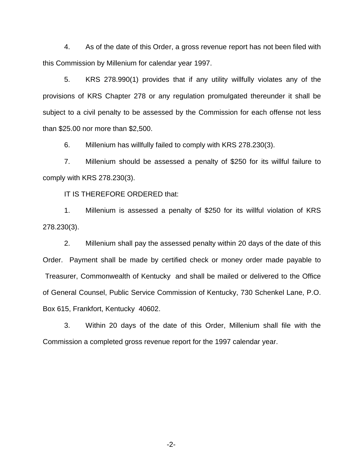4. As of the date of this Order, a gross revenue report has not been filed with this Commission by Millenium for calendar year 1997.

5. KRS 278.990(1) provides that if any utility willfully violates any of the provisions of KRS Chapter 278 or any regulation promulgated thereunder it shall be subject to a civil penalty to be assessed by the Commission for each offense not less than \$25.00 nor more than \$2,500.

6. Millenium has willfully failed to comply with KRS 278.230(3).

7. Millenium should be assessed a penalty of \$250 for its willful failure to comply with KRS 278.230(3).

IT IS THEREFORE ORDERED that:

1. Millenium is assessed a penalty of \$250 for its willful violation of KRS 278.230(3).

2. Millenium shall pay the assessed penalty within 20 days of the date of this Order. Payment shall be made by certified check or money order made payable to Treasurer, Commonwealth of Kentucky and shall be mailed or delivered to the Office of General Counsel, Public Service Commission of Kentucky, 730 Schenkel Lane, P.O. Box 615, Frankfort, Kentucky 40602.

3. Within 20 days of the date of this Order, Millenium shall file with the Commission a completed gross revenue report for the 1997 calendar year.

-2-